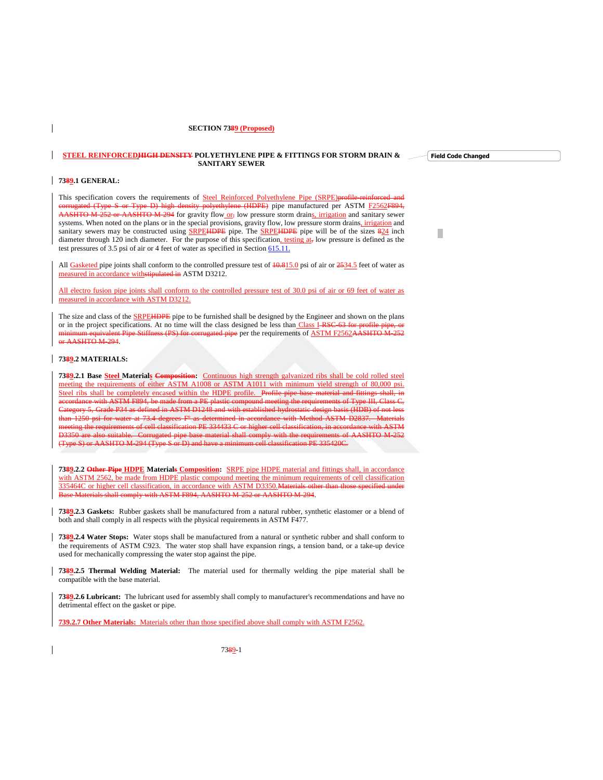#### **SECTION 7389 (Proposed)**

#### **STEEL REINFORCEDHIGH DENSITY POLYETHYLENE PIPE & FITTINGS FOR STORM DRAIN & SANITARY SEWER**

# **7389.1 GENERAL:**

 $\mathsf{l}$ 

This specification covers the requirements of Steel Reinforced Polyethylene Pipe (SRPE)profile-reinforced and corrugated (Type S or Type D) high density polyethylene (HDPE) pipe manufactured per ASTM F2562F894, AASHTO M-252 or AASHTO M-294 for gravity flow or, low pressure storm drains, irrigation and sanitary sewer systems. When noted on the plans or in the special provisions, gravity flow, low pressure storm drains, irrigation and sanitary sewers may be constructed using SRPE<del>HDPE</del> pipe. The SRPEHDPE pipe will be of the sizes 824 inch diameter through 120 inch diameter. For the purpose of this specification, testing at, low pressure is defined as the test pressures of 3.5 psi of air or 4 feet of water as specified in Section 615.11.

All Gasketed pipe joints shall conform to the controlled pressure test of  $\frac{10.815}{0}$  psi of air or  $\frac{2534.5}{0}$  feet of water as measured in accordance withstipulated in ASTM D3212.

All electro fusion pipe joints shall conform to the controlled pressure test of 30.0 psi of air or 69 feet of water as measured in accordance with ASTM D3212.

The size and class of the SRPEHDPE pipe to be furnished shall be designed by the Engineer and shown on the plans or in the project specifications. At no time will the class designed be less than Class I RSC-63 for profile pipe mequivalent Pipe Stiffness (PS) for corrugated pipe per the requirements of ASTM F2562AASHTO M-252 or AASHTO M-294.

#### **7389.2 MATERIALS:**

**7389.2.1 Base Steel Materials Composition:** Continuous high strength galvanized ribs shall be cold rolled steel meeting the requirements of either ASTM A1008 or ASTM A1011 with minimum yield strength of 80,000 psi. Steel ribs shall be completely encased within the HDPE profile.Profile pipe base material and fittings shall, in accordance with ASTM F894, be made from a PE plastic compound meeting the requirements of Type III, Class C, Category 5, Grade P34 as defined in ASTM D1248 and with established hydrostatic design basis (HDB) of not less than 1250 psi for water at 73.4 degrees Fº as determined in accordance with Method ASTM D2837. Materials meeting the requirements of cell classification PE 334433 C or higher cell classification, in accordance with ASTM<br>D3350 are also suitable. Corrugated pine base material shall comply with the requirements of AASHTO M 252 Corrugated pipe base material shall comply with the re (Type S) or AASHTO M-294 (Type S or D) and have a minimum cell classification PE 335420C.

**7389.2.2 Other Pipe HDPE Materials Composition:** SRPE pipe HDPE material and fittings shall, in accordance with ASTM 2562, be made from HDPE plastic compound meeting the minimum requirements of cell classification 335464C or higher cell classification, in accordance with ASTM D3350.Materials other than those specified under Base Materials shall comply with ASTM F894, AASHTO M-252 or AASHTO M-294.

**7389.2.3 Gaskets:** Rubber gaskets shall be manufactured from a natural rubber, synthetic elastomer or a blend of both and shall comply in all respects with the physical requirements in ASTM F477.

**7389.2.4 Water Stops:** Water stops shall be manufactured from a natural or synthetic rubber and shall conform to the requirements of ASTM C923. The water stop shall have expansion rings, a tension band, or a take-up device used for mechanically compressing the water stop against the pipe.

**7389.2.5 Thermal Welding Material:** The material used for thermally welding the pipe material shall be compatible with the base material.

**7389.2.6 Lubricant:** The lubricant used for assembly shall comply to manufacturer's recommendations and have no detrimental effect on the gasket or pipe.

**739.2.7 Other Materials:** Materials other than those specified above shall comply with ASTM F2562.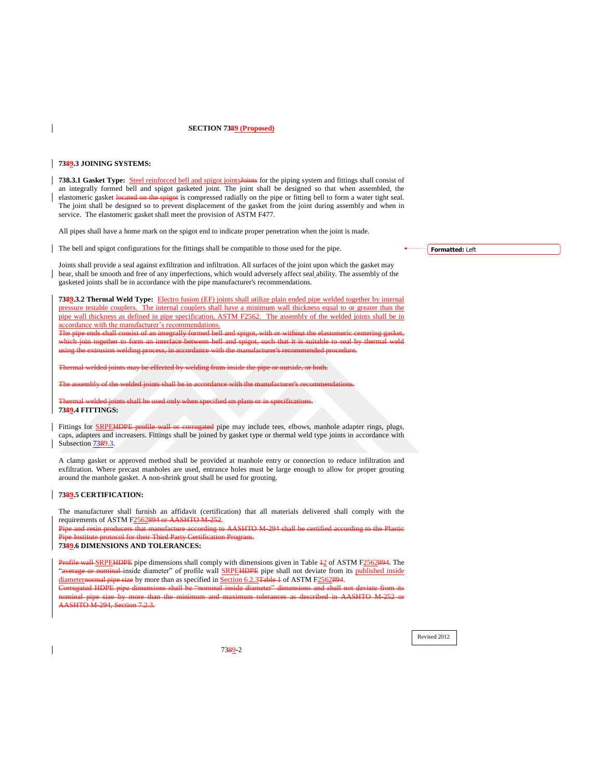# **SECTION 7389 (Proposed)**

## <span id="page-1-0"></span>**7389.3 JOINING SYSTEMS:**

**738.3.1 Gasket Type:** Steel reinforced bell and spigot joints Joints for the piping system and fittings shall consist of an integrally formed bell and spigot gasketed joint. The joint shall be designed so that when assembled, the elastomeric gasket located on the spigot is compressed radially on the pipe or fitting bell to form a water tight seal. The joint shall be designed so to prevent displacement of the gasket from the joint during assembly and when in service. The elastomeric gasket shall meet the provision of ASTM F477.

All pipes shall have a home mark on the spigot end to indicate proper penetration when the joint is made.

The bell and spigot configurations for the fittings shall be compatible to those used for the pipe.

Joints shall provide a seal against exfiltration and infiltration. All surfaces of the joint upon which the gasket may bear, shall be smooth and free of any imperfections, which would adversely affect seal ability. The assembly of the gasketed joints shall be in accordance with the pipe manufacturer's recommendations.

**7389.3.2 Thermal Weld Type:** Electro fusion (EF) joints shall utilize plain ended pipe welded together by internal pressure testable couplers. The internal couplers shall have a minimum wall thickness equal to or greater than the pipe wall thickness as defined in pipe specification, ASTM F2562. The assembly of the welded joints shall be in accordance with the manufacturer's recommendations.

consist of an integrally formed bell consist of an integrally formed bell which join together to form an interface between bell and spigot, such that it is suitable to seal by thermal weld using the extrusion welding process, in accordance with the manufacturer's recommended procedure.

av be effected by welding from inside

The assembly of the welded joints shall be in accordance with the manufacturer's recommendations.

al welded joints shall be used only **7389.4 FITTINGS:**

Fittings for SRPEHDPE profile wall or corrugated pipe may include tees, elbows, manhole adapter rings, plugs, caps, adapters and increasers. Fittings shall be joined by gasket type or thermal weld type joints in accordance with Subsection [7389.3.](#page-1-0)

A clamp gasket or approved method shall be provided at manhole entry or connection to reduce infiltration and exfiltration. Where precast manholes are used, entrance holes must be large enough to allow for proper grouting around the manhole gasket. A non-shrink grout shall be used for grouting.

## **7389.5 CERTIFICATION:**

The manufacturer shall furnish an affidavit (certification) that all materials delivered shall comply with the requirements of ASTM F2562894 or AASHTO M-252.

Pipe and resin producers that manufacture according to AASHTO M-294 shall be certified according to the Plastic **Polace Institute Part** in September 11, 1998 of the Party

#### **7389.6 DIMENSIONS AND TOLERANCES:**

Profile wall SRPEHDPE pipe dimensions shall comply with dimensions given in Table  $\frac{1}{2}$  of ASTM F2562894. The average or nominal inside diameter" of profile wall SRPEHDPE pipe shall not deviate from its published inside diameternormal pipe size by more than as specified in Section 6.2.3Table 1 of ASTM F2562894.

orrugated HDPE pipe dim nominal pipe size by more than the minimum and maximum tolerances as described in AASHTO M-252 or **ASHTO M-294, Section 7.2.3.**